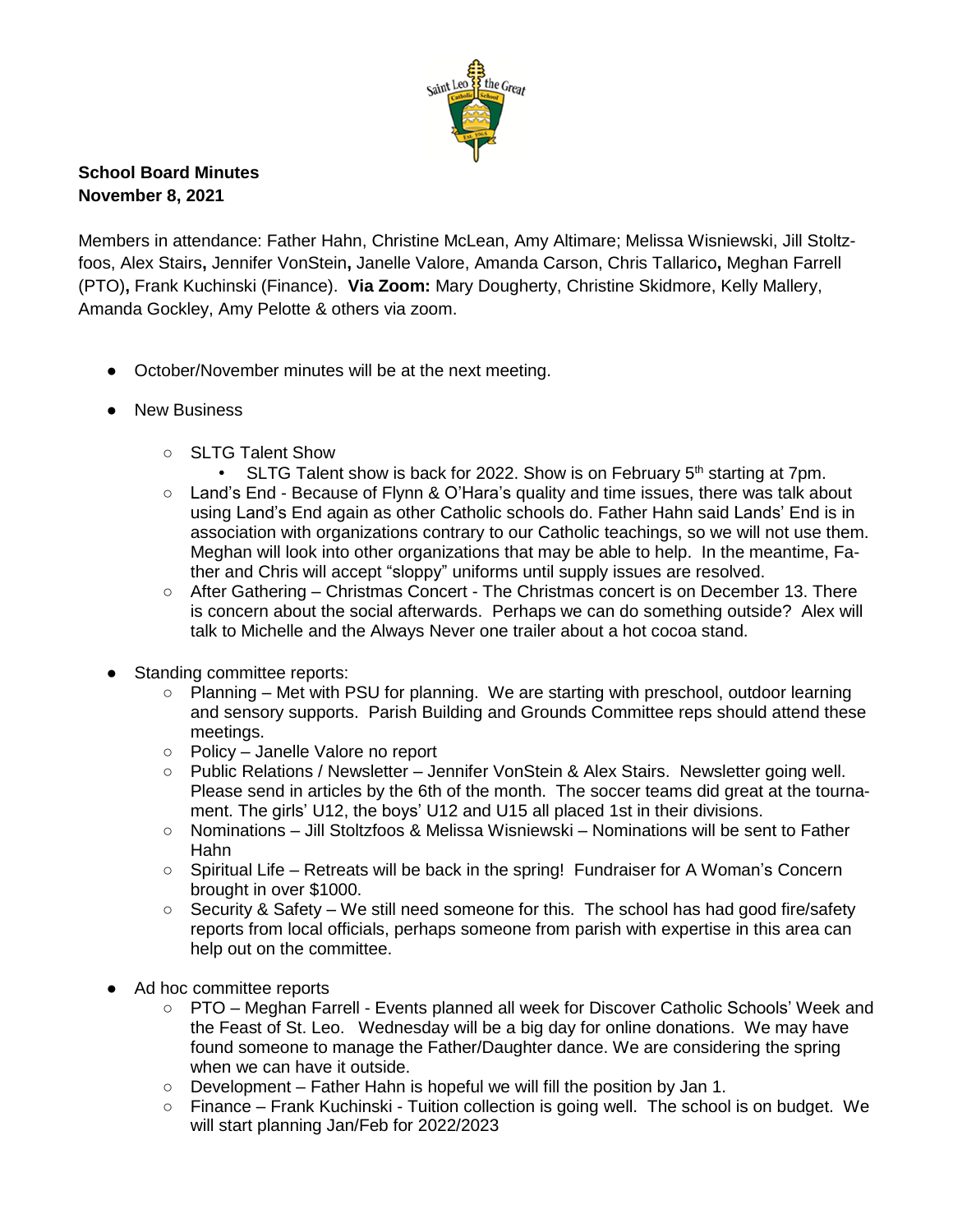

## **School Board Minutes November 8, 2021**

Members in attendance: Father Hahn, Christine McLean, Amy Altimare; Melissa Wisniewski, Jill Stoltzfoos, Alex Stairs**,** Jennifer VonStein**,** Janelle Valore, Amanda Carson, Chris Tallarico**,** Meghan Farrell (PTO)**,** Frank Kuchinski (Finance). **Via Zoom:** Mary Dougherty, Christine Skidmore, Kelly Mallery, Amanda Gockley, Amy Pelotte & others via zoom.

- October/November minutes will be at the next meeting.
- New Business
	- SLTG Talent Show
		- SLTG Talent show is back for 2022. Show is on February  $5<sup>th</sup>$  starting at 7pm.
	- Land's End Because of Flynn & O'Hara's quality and time issues, there was talk about using Land's End again as other Catholic schools do. Father Hahn said Lands' End is in association with organizations contrary to our Catholic teachings, so we will not use them. Meghan will look into other organizations that may be able to help. In the meantime, Father and Chris will accept "sloppy" uniforms until supply issues are resolved.
	- After Gathering Christmas Concert The Christmas concert is on December 13. There is concern about the social afterwards. Perhaps we can do something outside? Alex will talk to Michelle and the Always Never one trailer about a hot cocoa stand.
- Standing committee reports:
	- Planning Met with PSU for planning. We are starting with preschool, outdoor learning and sensory supports. Parish Building and Grounds Committee reps should attend these meetings.
	- Policy Janelle Valore no report
	- Public Relations / Newsletter Jennifer VonStein & Alex Stairs. Newsletter going well. Please send in articles by the 6th of the month. The soccer teams did great at the tournament. The girls' U12, the boys' U12 and U15 all placed 1st in their divisions.
	- Nominations Jill Stoltzfoos & Melissa Wisniewski Nominations will be sent to Father Hahn
	- Spiritual Life Retreats will be back in the spring! Fundraiser for A Woman's Concern brought in over \$1000.
	- Security & Safety We still need someone for this. The school has had good fire/safety reports from local officials, perhaps someone from parish with expertise in this area can help out on the committee.
- Ad hoc committee reports
	- PTO Meghan Farrell Events planned all week for Discover Catholic Schools' Week and the Feast of St. Leo. Wednesday will be a big day for online donations. We may have found someone to manage the Father/Daughter dance. We are considering the spring when we can have it outside.
	- Development Father Hahn is hopeful we will fill the position by Jan 1.
	- Finance Frank Kuchinski Tuition collection is going well. The school is on budget. We will start planning Jan/Feb for 2022/2023